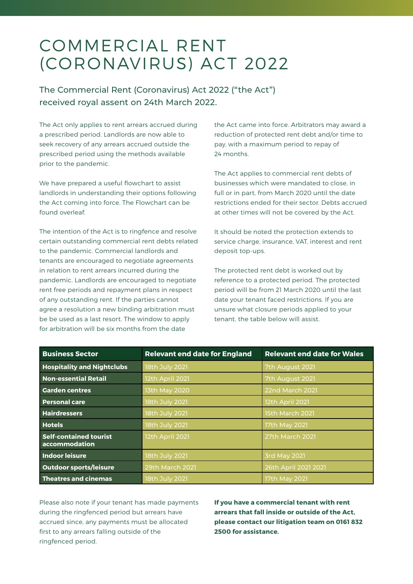## COMMERCIAL RENT (CORONAVIRUS) ACT 2022

The Commercial Rent (Coronavirus) Act 2022 ("the Act") received royal assent on 24th March 2022.

The Act only applies to rent arrears accrued during a prescribed period. Landlords are now able to seek recovery of any arrears accrued outside the prescribed period using the methods available prior to the pandemic.

We have prepared a useful flowchart to assist landlords in understanding their options following the Act coming into force. The Flowchart can be found overleaf.

The intention of the Act is to ringfence and resolve certain outstanding commercial rent debts related to the pandemic. Commercial landlords and tenants are encouraged to negotiate agreements in relation to rent arrears incurred during the pandemic. Landlords are encouraged to negotiate rent free periods and repayment plans in respect of any outstanding rent. If the parties cannot agree a resolution a new binding arbitration must be be used as a last resort. The window to apply for arbitration will be six months from the date

the Act came into force. Arbitrators may award a reduction of protected rent debt and/or time to pay, with a maximum period to repay of 24 months.

The Act applies to commercial rent debts of businesses which were mandated to close, in full or in part, from March 2020 until the date restrictions ended for their sector. Debts accrued at other times will not be covered by the Act.

It should be noted the protection extends to service charge, insurance, VAT, interest and rent deposit top-ups.

The protected rent debt is worked out by reference to a protected period. The protected period will be from 21 March 2020 until the last date your tenant faced restrictions. If you are unsure what closure periods applied to your tenant, the table below will assist.

| <b>Business Sector</b>                         | <b>Relevant end date for England</b> | <b>Relevant end date for Wales</b> |
|------------------------------------------------|--------------------------------------|------------------------------------|
| <b>Hospitality and Nightclubs</b>              | 18th July 2021                       | 7th August 2021                    |
| <b>Non-essential Retail</b>                    | 12th April 2021                      | 7th August 2021                    |
| <b>Garden centres</b>                          | 13th May 2020                        | 22nd March 2021                    |
| <b>Personal care</b>                           | 18th July 2021                       | 12th April 2021                    |
| <b>Hairdressers</b>                            | 18th July 2021                       | 15th March 2021                    |
| <b>Hotels</b>                                  | 18th July 2021                       | 17th May 2021                      |
| <b>Self-contained tourist</b><br>accommodation | 12th April 2021                      | 27th March 2021                    |
| Indoor leisure                                 | 18th July 2021                       | <b>3rd May 2021</b>                |
| <b>Outdoor sports/leisure</b>                  | 29th March 2021                      | 26th April 2021 2021               |
| Theatres and cinemas                           | 18th July 2021                       | 17th May 2021                      |

Please also note if your tenant has made payments during the ringfenced period but arrears have accrued since, any payments must be allocated first to any arrears falling outside of the ringfenced period.

**If you have a commercial tenant with rent arrears that fall inside or outside of the Act, please contact our litigation team on 0161 832 2500 for assistance.**